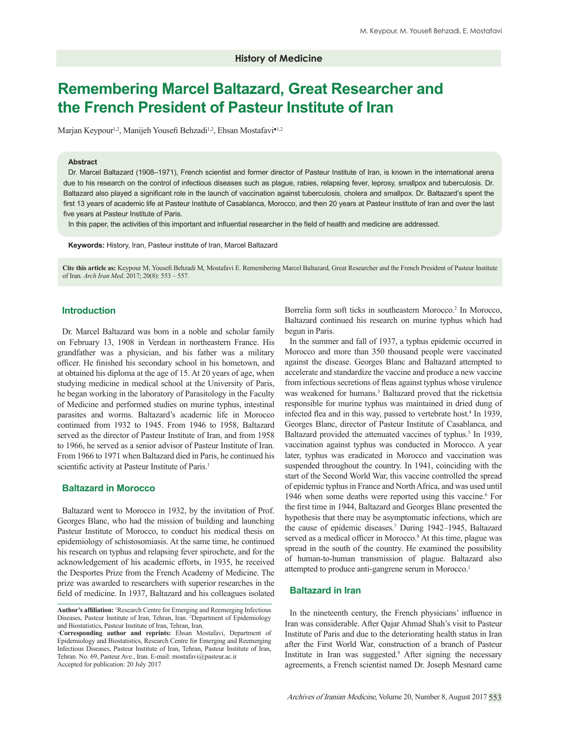# **Remembering Marcel Baltazard, Great Researcher and the French President of Pasteur Institute of Iran**

Marjan Keypour<sup>1,2</sup>, Manijeh Yousefi Behzadi<sup>1,2</sup>, Ehsan Mostafavi<sup>•1,2</sup>

#### **Abstract**

Dr. Marcel Baltazard (1908-1971), French scientist and former director of Pasteur Institute of Iran, is known in the international arena due to his research on the control of infectious diseases such as plague, rabies, relapsing fever, leprosy, smallpox and tuberculosis. Dr. Baltazard also played a significant role in the launch of vaccination against tuberculosis, cholera and smallpox. Dr. Baltazard's spent the first 13 years of academic life at Pasteur Institute of Casablanca, Morocco, and then 20 years at Pasteur Institute of Iran and over the last five years at Pasteur Institute of Paris.

In this paper, the activities of this important and influential researcher in the field of health and medicine are addressed.

Keywords: History, Iran, Pasteur institute of Iran, Marcel Baltazard

Cite this article as: Keypour M, Yousefi Behzadi M, Mostafavi E. Remembering Marcel Baltazard, Great Researcher and the French President of Pasteur Institute of Iran. *Arch Iran Med*. 2017; 20(8): 553 – 557.

## **Introduction**

Dr. Marcel Baltazard was born in a noble and scholar family on February 13, 1908 in Verdean in northeastern France. His grandfather was a physician, and his father was a military officer. He finished his secondary school in his hometown, and at obtained his diploma at the age of 15. At 20 years of age, when studying medicine in medical school at the University of Paris, he began working in the laboratory of Parasitology in the Faculty of Medicine and performed studies on murine typhus, intestinal parasites and worms. Baltazard's academic life in Morocco continued from 1932 to 1945. From 1946 to 1958, Baltazard served as the director of Pasteur Institute of Iran, and from 1958 to 1966, he served as a senior advisor of Pasteur Institute of Iran. From 1966 to 1971 when Baltazard died in Paris, he continued his scientific activity at Pasteur Institute of Paris.<sup>1</sup>

## **Baltazard in Morocco**

Baltazard went to Morocco in 1932, by the invitation of Prof. Georges Blanc, who had the mission of building and launching Pasteur Institute of Morocco, to conduct his medical thesis on epidemiology of schistosomiasis. At the same time, he continued his research on typhus and relapsing fever spirochete, and for the acknowledgement of his academic efforts, in 1935, he received the Desportes Prize from the French Academy of Medicine. The prize was awarded to researchers with superior researches in the field of medicine. In 1937, Baltazard and his colleagues isolated

Borrelia form soft ticks in southeastern Morocco.<sup>2</sup> In Morocco, Baltazard continued his research on murine typhus which had begun in Paris.

In the summer and fall of 1937, a typhus epidemic occurred in Morocco and more than 350 thousand people were vaccinated against the disease. Georges Blanc and Baltazard attempted to accelerate and standardize the vaccine and produce a new vaccine from infectious secretions of fleas against typhus whose virulence was weakened for humans.<sup>3</sup> Baltazard proved that the rickettsia responsible for murine typhus was maintained in dried dung of infected flea and in this way, passed to vertebrate host.<sup>4</sup> In 1939, Georges Blanc, director of Pasteur Institute of Casablanca, and Baltazard provided the attenuated vaccines of typhus.<sup>5</sup> In 1939, vaccination against typhus was conducted in Morocco. A year later, typhus was eradicated in Morocco and vaccination was suspended throughout the country. In 1941, coinciding with the start of the Second World War, this vaccine controlled the spread of epidemic typhus in France and North Africa, and was used until 1946 when some deaths were reported using this vaccine.<sup>6</sup> For the first time in 1944, Baltazard and Georges Blanc presented the hypothesis that there may be asymptomatic infections, which are the cause of epidemic diseases.7 During 1942–1945, Baltazard served as a medical officer in Morocco.<sup>8</sup> At this time, plague was spread in the south of the country. He examined the possibility of human-to-human transmission of plague. Baltazard also attempted to produce anti-gangrene serum in Morocco.<sup>1</sup>

# **Baltazard in Iran**

In the nineteenth century, the French physicians' influence in Iran was considerable. After Qajar Ahmad Shah's visit to Pasteur Institute of Paris and due to the deteriorating health status in Iran after the First World War, construction of a branch of Pasteur Institute in Iran was suggested.<sup>9</sup> After signing the necessary agreements, a French scientist named Dr. Joseph Mesnard came

Author's affiliation: <sup>1</sup>Research Centre for Emerging and Reemerging Infectious Diseases, Pasteur Institute of Iran, Tehran, Iran. 2 Department of Epidemiology and Biostatistics, Pasteur Institute of Iran, Tehran, Iran.

**<sup>·</sup>Corresponding author and reprints:** Ehsan Mostafavi, Department of Epidemiology and Biostatistics, Research Centre for Emerging and Reemerging Infectious Diseases, Pasteur Institute of Iran, Tehran, Pasteur Institute of Iran, Tehran. No. 69, Pasteur Ave., Iran. E-mail: mostafavi@pasteur.ac.ir Accepted for publication: 20 July 2017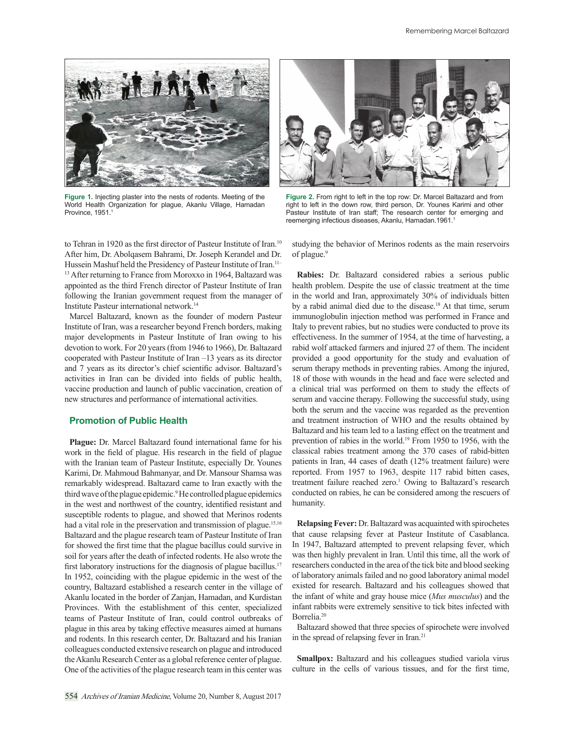

Figure 1. Injecting plaster into the nests of rodents. Meeting of the World Health Organization for plague, Akanlu Village, Hamadan Province, 1951.<sup>1</sup>

to Tehran in 1920 as the first director of Pasteur Institute of Iran.<sup>10</sup> After him, Dr. Abolqasem Bahrami, Dr. Joseph Kerandel and Dr. Hussein Mashuf held the Presidency of Pasteur Institute of Iran.<sup>11-</sup> <sup>13</sup> After returning to France from Moroxxo in 1964, Baltazard was appointed as the third French director of Pasteur Institute of Iran following the Iranian government request from the manager of Institute Pasteur international network.14

Marcel Baltazard, known as the founder of modern Pasteur Institute of Iran, was a researcher beyond French borders, making major developments in Pasteur Institute of Iran owing to his devotion to work. For 20 years (from 1946 to 1966), Dr. Baltazard cooperated with Pasteur Institute of Iran –13 years as its director and 7 years as its director's chief scientific advisor. Baltazard's activities in Iran can be divided into fields of public health, vaccine production and launch of public vaccination, creation of new structures and performance of international activities.

#### **Promotion of Public Health**

**Plague:** Dr. Marcel Baltazard found international fame for his work in the field of plague. His research in the field of plague with the Iranian team of Pasteur Institute, especially Dr. Younes Karimi, Dr. Mahmoud Bahmanyar, and Dr. Mansour Shamsa was remarkably widespread. Baltazard came to Iran exactly with the third wave of the plague epidemic.<sup>9</sup> He controlled plague epidemics in the west and northwest of the country, identified resistant and susceptible rodents to plague, and showed that Merinos rodents had a vital role in the preservation and transmission of plague.<sup>15,16</sup> Baltazard and the plague research team of Pasteur Institute of Iran for showed the first time that the plague bacillus could survive in soil for years after the death of infected rodents. He also wrote the first laboratory instructions for the diagnosis of plague bacillus.<sup>17</sup> In 1952, coinciding with the plague epidemic in the west of the country, Baltazard established a research center in the village of Akanlu located in the border of Zanjan, Hamadan, and Kurdistan Provinces. With the establishment of this center, specialized teams of Pasteur Institute of Iran, could control outbreaks of plague in this area by taking effective measures aimed at humans and rodents. In this research center, Dr. Baltazard and his Iranian colleagues conducted extensive research on plague and introduced the Akanlu Research Center as a global reference center of plague. One of the activities of the plague research team in this center was



Figure 2. From right to left in the top row: Dr. Marcel Baltazard and from right to left in the down row, third person, Dr. Younes Karimi and other Pasteur Institute of Iran staff; The research center for emerging and reemerging infectious diseases, Akanlu, Hamadan.1961.1

studying the behavior of Merinos rodents as the main reservoirs of plague.<sup>9</sup>

**Rabies:** Dr. Baltazard considered rabies a serious public health problem. Despite the use of classic treatment at the time in the world and Iran, approximately 30% of individuals bitten by a rabid animal died due to the disease.<sup>18</sup> At that time, serum immunoglobulin injection method was performed in France and Italy to prevent rabies, but no studies were conducted to prove its effectiveness. In the summer of 1954, at the time of harvesting, a rabid wolf attacked farmers and injured 27 of them. The incident provided a good opportunity for the study and evaluation of serum therapy methods in preventing rabies. Among the injured, 18 of those with wounds in the head and face were selected and a clinical trial was performed on them to study the effects of serum and vaccine therapy. Following the successful study, using both the serum and the vaccine was regarded as the prevention and treatment instruction of WHO and the results obtained by Baltazard and his team led to a lasting effect on the treatment and prevention of rabies in the world.19 From 1950 to 1956, with the classical rabies treatment among the 370 cases of rabid-bitten patients in Iran, 44 cases of death (12% treatment failure) were reported. From 1957 to 1963, despite 117 rabid bitten cases, treatment failure reached zero.<sup>1</sup> Owing to Baltazard's research conducted on rabies, he can be considered among the rescuers of humanity.

**Relapsing Fever:** Dr. Baltazard was acquainted with spirochetes that cause relapsing fever at Pasteur Institute of Casablanca. In 1947, Baltazard attempted to prevent relapsing fever, which was then highly prevalent in Iran. Until this time, all the work of researchers conducted in the area of the tick bite and blood seeking of laboratory animals failed and no good laboratory animal model existed for research. Baltazard and his colleagues showed that the infant of white and gray house mice (*Mus musculus*) and the infant rabbits were extremely sensitive to tick bites infected with Borrelia.20

Baltazard showed that three species of spirochete were involved in the spread of relapsing fever in Iran.<sup>21</sup>

**Smallpox:** Baltazard and his colleagues studied variola virus culture in the cells of various tissues, and for the first time,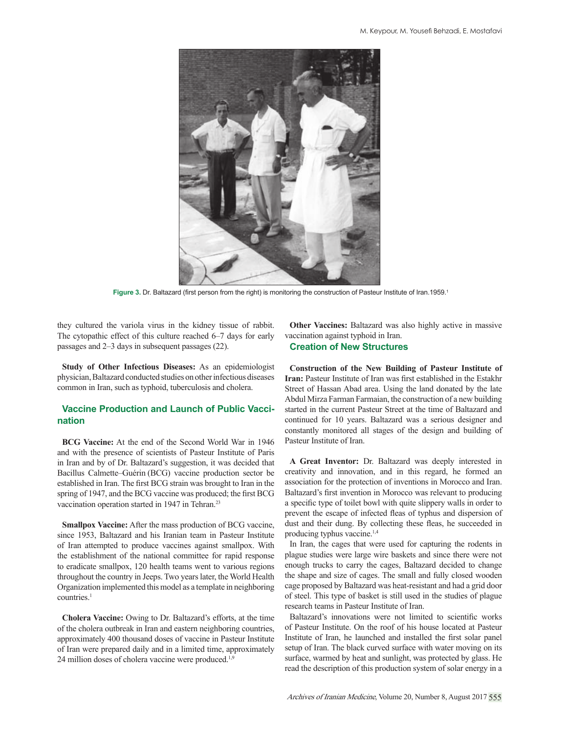

Figure 3. Dr. Baltazard (first person from the right) is monitoring the construction of Pasteur Institute of Iran.1959.<sup>1</sup>

they cultured the variola virus in the kidney tissue of rabbit. The cytopathic effect of this culture reached 6–7 days for early passages and 2–3 days in subsequent passages (22).

**Study of Other Infectious Diseases:** As an epidemiologist physician, Baltazard conducted studies on other infectious diseases common in Iran, such as typhoid, tuberculosis and cholera.

# **Vaccine Production and Launch of Public Vaccination**

**BCG Vaccine:** At the end of the Second World War in 1946 and with the presence of scientists of Pasteur Institute of Paris in Iran and by of Dr. Baltazard's suggestion, it was decided that Bacillus Calmette–Guérin (BCG) vaccine production sector be established in Iran. The first BCG strain was brought to Iran in the spring of 1947, and the BCG vaccine was produced; the first BCG vaccination operation started in 1947 in Tehran.<sup>23</sup>

**Smallpox Vaccine:** After the mass production of BCG vaccine, since 1953, Baltazard and his Iranian team in Pasteur Institute of Iran attempted to produce vaccines against smallpox. With the establishment of the national committee for rapid response to eradicate smallpox, 120 health teams went to various regions throughout the country in Jeeps. Two years later, the World Health Organization implemented this model as a template in neighboring countries.<sup>1</sup>

**Cholera Vaccine:** Owing to Dr. Baltazard's efforts, at the time of the cholera outbreak in Iran and eastern neighboring countries, approximately 400 thousand doses of vaccine in Pasteur Institute of Iran were prepared daily and in a limited time, approximately 24 million doses of cholera vaccine were produced.1,9

**Other Vaccines:** Baltazard was also highly active in massive vaccination against typhoid in Iran.

## **Creation of New Structures**

**Construction of the New Building of Pasteur Institute of Iran:** Pasteur Institute of Iran was first established in the Estakhr Street of Hassan Abad area. Using the land donated by the late Abdul Mirza Farman Farmaian, the construction of a new building started in the current Pasteur Street at the time of Baltazard and continued for 10 years. Baltazard was a serious designer and constantly monitored all stages of the design and building of Pasteur Institute of Iran.

**A Great Inventor:** Dr. Baltazard was deeply interested in creativity and innovation, and in this regard, he formed an association for the protection of inventions in Morocco and Iran. Baltazard's first invention in Morocco was relevant to producing a specific type of toilet bowl with quite slippery walls in order to prevent the escape of infected fleas of typhus and dispersion of dust and their dung. By collecting these fleas, he succeeded in producing typhus vaccine.1,4

In Iran, the cages that were used for capturing the rodents in plague studies were large wire baskets and since there were not enough trucks to carry the cages, Baltazard decided to change the shape and size of cages. The small and fully closed wooden cage proposed by Baltazard was heat-resistant and had a grid door of steel. This type of basket is still used in the studies of plague research teams in Pasteur Institute of Iran.

Baltazard's innovations were not limited to scientific works of Pasteur Institute. On the roof of his house located at Pasteur Institute of Iran, he launched and installed the first solar panel setup of Iran. The black curved surface with water moving on its surface, warmed by heat and sunlight, was protected by glass. He read the description of this production system of solar energy in a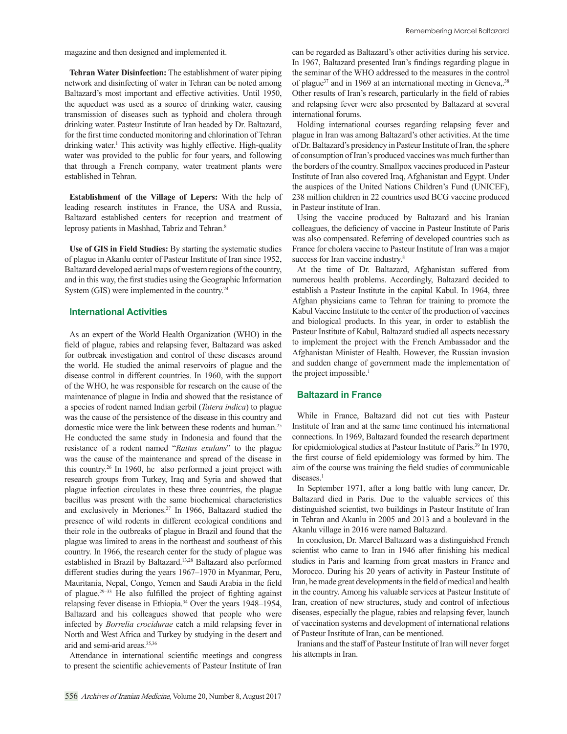magazine and then designed and implemented it.

**Tehran Water Disinfection:** The establishment of water piping network and disinfecting of water in Tehran can be noted among Baltazard's most important and effective activities. Until 1950, the aqueduct was used as a source of drinking water, causing transmission of diseases such as typhoid and cholera through drinking water. Pasteur Institute of Iran headed by Dr. Baltazard, for the first time conducted monitoring and chlorination of Tehran drinking water.<sup>1</sup> This activity was highly effective. High-quality water was provided to the public for four years, and following that through a French company, water treatment plants were established in Tehran.

**Establishment of the Village of Lepers:** With the help of leading research institutes in France, the USA and Russia, Baltazard established centers for reception and treatment of leprosy patients in Mashhad, Tabriz and Tehran.<sup>8</sup>

**Use of GIS in Field Studies:** By starting the systematic studies of plague in Akanlu center of Pasteur Institute of Iran since 1952, Baltazard developed aerial maps of western regions of the country, and in this way, the first studies using the Geographic Information System (GIS) were implemented in the country.<sup>24</sup>

## **International Activities**

As an expert of the World Health Organization (WHO) in the field of plague, rabies and relapsing fever, Baltazard was asked for outbreak investigation and control of these diseases around the world. He studied the animal reservoirs of plague and the disease control in different countries. In 1960, with the support of the WHO, he was responsible for research on the cause of the maintenance of plague in India and showed that the resistance of a species of rodent named Indian gerbil (*Tatera indica*) to plague was the cause of the persistence of the disease in this country and domestic mice were the link between these rodents and human.<sup>25</sup> He conducted the same study in Indonesia and found that the resistance of a rodent named "*Rattus exulans*" to the plague was the cause of the maintenance and spread of the disease in this country.26 In 1960, he also performed a joint project with research groups from Turkey, Iraq and Syria and showed that plague infection circulates in these three countries, the plague bacillus was present with the same biochemical characteristics and exclusively in Meriones.27 In 1966, Baltazard studied the presence of wild rodents in different ecological conditions and their role in the outbreaks of plague in Brazil and found that the plague was limited to areas in the northeast and southeast of this country. In 1966, the research center for the study of plague was established in Brazil by Baltazard.13,28 Baltazard also performed different studies during the years 1967–1970 in Myanmar, Peru, Mauritania, Nepal, Congo, Yemen and Saudi Arabia in the field of plague.<sup>29-33</sup> He also fulfilled the project of fighting against relapsing fever disease in Ethiopia.34 Over the years 1948–1954, Baltazard and his colleagues showed that people who were infected by *Borrelia crocidurae* catch a mild relapsing fever in North and West Africa and Turkey by studying in the desert and arid and semi-arid areas.35,36

Attendance in international scientific meetings and congress to present the scientific achievements of Pasteur Institute of Iran

can be regarded as Baltazard's other activities during his service. In 1967, Baltazard presented Iran's findings regarding plague in the seminar of the WHO addressed to the measures in the control of plague37 and in 1969 at an international meeting in Geneva,.38 Other results of Iran's research, particularly in the field of rabies and relapsing fever were also presented by Baltazard at several international forums.

Holding international courses regarding relapsing fever and plague in Iran was among Baltazard's other activities. At the time of Dr. Baltazard's presidency in Pasteur Institute of Iran, the sphere of consumption of Iran's produced vaccines was much further than the borders of the country. Smallpox vaccines produced in Pasteur Institute of Iran also covered Iraq, Afghanistan and Egypt. Under the auspices of the United Nations Children's Fund (UNICEF), 238 million children in 22 countries used BCG vaccine produced in Pasteur institute of Iran.

Using the vaccine produced by Baltazard and his Iranian colleagues, the deficiency of vaccine in Pasteur Institute of Paris was also compensated. Referring of developed countries such as France for cholera vaccine to Pasteur Institute of Iran was a major success for Iran vaccine industry.<sup>8</sup>

At the time of Dr. Baltazard, Afghanistan suffered from numerous health problems. Accordingly, Baltazard decided to establish a Pasteur Institute in the capital Kabul. In 1964, three Afghan physicians came to Tehran for training to promote the Kabul Vaccine Institute to the center of the production of vaccines and biological products. In this year, in order to establish the Pasteur Institute of Kabul, Baltazard studied all aspects necessary to implement the project with the French Ambassador and the Afghanistan Minister of Health. However, the Russian invasion and sudden change of government made the implementation of the project impossible.<sup>1</sup>

## **Baltazard in France**

While in France, Baltazard did not cut ties with Pasteur Institute of Iran and at the same time continued his international connections. In 1969, Baltazard founded the research department for epidemiological studies at Pasteur Institute of Paris.<sup>39</sup> In 1970, the first course of field epidemiology was formed by him. The aim of the course was training the field studies of communicable diseases.<sup>1</sup>

In September 1971, after a long battle with lung cancer, Dr. Baltazard died in Paris. Due to the valuable services of this distinguished scientist, two buildings in Pasteur Institute of Iran in Tehran and Akanlu in 2005 and 2013 and a boulevard in the Akanlu village in 2016 were named Baltazard.

In conclusion, Dr. Marcel Baltazard was a distinguished French scientist who came to Iran in 1946 after finishing his medical studies in Paris and learning from great masters in France and Morocco. During his 20 years of activity in Pasteur Institute of Iran, he made great developments in the field of medical and health in the country. Among his valuable services at Pasteur Institute of Iran, creation of new structures, study and control of infectious diseases, especially the plague, rabies and relapsing fever, launch of vaccination systems and development of international relations of Pasteur Institute of Iran, can be mentioned.

Iranians and the staff of Pasteur Institute of Iran will never forget his attempts in Iran.